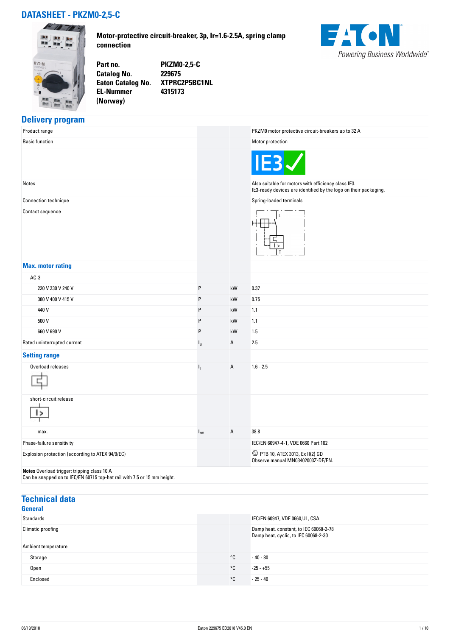## **DATASHEET - PKZM0-2,5-C**



**Motor-protective circuit-breaker, 3p, Ir=1.6-2.5A, spring clamp connection**



**EL-Nummer (Norway)** 

**Part no. PKZM0-2,5-C Catalog No. 229675 Eaton Catalog No. XTPRC2P5BC1NL 4315173**

#### **Delivery program**

| Product range                                                                                                           |             |    | PKZM0 motor protective circuit-breakers up to 32 A                                                                      |
|-------------------------------------------------------------------------------------------------------------------------|-------------|----|-------------------------------------------------------------------------------------------------------------------------|
| <b>Basic function</b>                                                                                                   |             |    | Motor protection                                                                                                        |
|                                                                                                                         |             |    | IE <sub>3</sub>                                                                                                         |
| Notes                                                                                                                   |             |    | Also suitable for motors with efficiency class IE3.<br>IE3-ready devices are identified by the logo on their packaging. |
| Connection technique                                                                                                    |             |    | Spring-loaded terminals                                                                                                 |
| Contact sequence                                                                                                        |             |    |                                                                                                                         |
| <b>Max. motor rating</b>                                                                                                |             |    |                                                                                                                         |
| $AC-3$                                                                                                                  |             |    |                                                                                                                         |
| 220 V 230 V 240 V                                                                                                       | P           | kW | 0.37                                                                                                                    |
| 380 V 400 V 415 V                                                                                                       | P           | kW | 0.75                                                                                                                    |
| 440 V                                                                                                                   | P           | kW | 1.1                                                                                                                     |
| 500 V                                                                                                                   | P           | kW | 1.1                                                                                                                     |
| 660 V 690 V                                                                                                             | P           | kW | 1.5                                                                                                                     |
| Rated uninterrupted current                                                                                             | $I_{\rm u}$ | А  | 2.5                                                                                                                     |
| <b>Setting range</b>                                                                                                    |             |    |                                                                                                                         |
| Overload releases                                                                                                       | $I_r$       | A  | $1.6 - 2.5$                                                                                                             |
| short-circuit release                                                                                                   |             |    |                                                                                                                         |
| max.                                                                                                                    | $I_{rm}$    | Α  | 38.8                                                                                                                    |
| Phase-failure sensitivity                                                                                               |             |    | IEC/EN 60947-4-1, VDE 0660 Part 102                                                                                     |
| Explosion protection (according to ATEX 94/9/EC)                                                                        |             |    | 42 PTB 10, ATEX 3013, Ex II(2) GD<br>Observe manual MN03402003Z-DE/EN.                                                  |
| Notes Overload trigger: tripping class 10 A<br>Can be snapped on to IEC/EN 60715 top-hat rail with 7.5 or 15 mm height. |             |    |                                                                                                                         |

### **Technical data**

| General             |              |                                                                                |
|---------------------|--------------|--------------------------------------------------------------------------------|
| Standards           |              | IEC/EN 60947, VDE 0660, UL, CSA                                                |
| Climatic proofing   |              | Damp heat, constant, to IEC 60068-2-78<br>Damp heat, cyclic, to IEC 60068-2-30 |
| Ambient temperature |              |                                                                                |
| Storage             | °C           | $-40 - 80$                                                                     |
| <b>Open</b>         | $^{\circ}$ C | $-25 - +55$                                                                    |
| Enclosed            | °C           | $-25 - 40$                                                                     |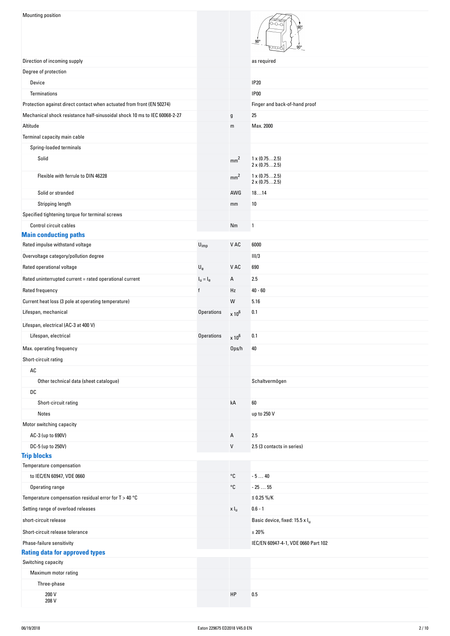| <b>Mounting position</b>                                                  |                           |                  | $90^\circ$<br>gn <sup>o</sup>                |
|---------------------------------------------------------------------------|---------------------------|------------------|----------------------------------------------|
| Direction of incoming supply                                              |                           |                  | as required                                  |
| Degree of protection                                                      |                           |                  |                                              |
| Device                                                                    |                           |                  | <b>IP20</b>                                  |
| <b>Terminations</b>                                                       |                           |                  | <b>IP00</b>                                  |
| Protection against direct contact when actuated from front (EN 50274)     |                           |                  | Finger and back-of-hand proof                |
| Mechanical shock resistance half-sinusoidal shock 10 ms to IEC 60068-2-27 |                           | $\mathfrak g$    | 25                                           |
| Altitude                                                                  |                           | m                | Max. 2000                                    |
| Terminal capacity main cable                                              |                           |                  |                                              |
| Spring-loaded terminals                                                   |                           |                  |                                              |
| Solid                                                                     |                           | mm <sup>2</sup>  | $1 \times (0.752.5)$                         |
|                                                                           |                           |                  | $2 \times (0.752.5)$                         |
| Flexible with ferrule to DIN 46228                                        |                           | mm <sup>2</sup>  | $1 \times (0.752.5)$<br>$2 \times (0.752.5)$ |
| Solid or stranded                                                         |                           | AWG              | 1814                                         |
| Stripping length                                                          |                           | mm               | $10\,$                                       |
| Specified tightening torque for terminal screws                           |                           |                  |                                              |
| Control circuit cables                                                    |                           | Nm               | 1                                            |
| <b>Main conducting paths</b>                                              |                           |                  |                                              |
| Rated impulse withstand voltage                                           | $U_{imp}$                 | V AC             | 6000                                         |
| Overvoltage category/pollution degree                                     |                           |                  | III/3                                        |
| Rated operational voltage                                                 | $\mathsf{U}_{\mathrm{e}}$ | V AC             | 690                                          |
| Rated uninterrupted current = rated operational current                   | $I_{u} = I_{e}$           | Α                | 2.5                                          |
| Rated frequency                                                           | $\mathsf{f}$              | Hz               | $40 - 60$                                    |
| Current heat loss (3 pole at operating temperature)                       |                           | W                | 5.16                                         |
| Lifespan, mechanical                                                      | <b>Operations</b>         | $\times 10^6$    | 0.1                                          |
| Lifespan, electrical (AC-3 at 400 V)                                      |                           |                  |                                              |
| Lifespan, electrical                                                      | <b>Operations</b>         | $\times 10^6$    | 0.1                                          |
| Max. operating frequency                                                  |                           | Ops/h            | 40                                           |
| Short-circuit rating                                                      |                           |                  |                                              |
| $\mathsf{AC}$                                                             |                           |                  |                                              |
| Other technical data (sheet catalogue)                                    |                           |                  | Schaltvermögen                               |
| DC                                                                        |                           |                  |                                              |
| Short-circuit rating                                                      |                           | kA               | 60                                           |
| Notes                                                                     |                           |                  | up to 250 V                                  |
| Motor switching capacity                                                  |                           |                  |                                              |
| AC-3 (up to 690V)                                                         |                           | Α                | 2.5                                          |
| DC-5 (up to 250V)                                                         |                           | V                | 2.5 (3 contacts in series)                   |
| <b>Trip blocks</b>                                                        |                           |                  |                                              |
| Temperature compensation                                                  |                           |                  |                                              |
| to IEC/EN 60947, VDE 0660                                                 |                           | °C               | $-540$                                       |
| Operating range                                                           |                           | °C               | $-2555$                                      |
| Temperature compensation residual error for $T > 40$ °C                   |                           |                  | $≤ 0.25 %$ /K                                |
| Setting range of overload releases                                        |                           | x I <sub>u</sub> | $0.6 - 1$                                    |
| short-circuit release                                                     |                           |                  | Basic device, fixed: 15.5 x I <sub>u</sub>   |
| Short-circuit release tolerance                                           |                           |                  | ±20%                                         |
| Phase-failure sensitivity                                                 |                           |                  | IEC/EN 60947-4-1, VDE 0660 Part 102          |
| <b>Rating data for approved types</b><br>Switching capacity               |                           |                  |                                              |
| Maximum motor rating                                                      |                           |                  |                                              |
| Three-phase                                                               |                           |                  |                                              |
| 200 V                                                                     |                           | HP               | 0.5                                          |
| 208 V                                                                     |                           |                  |                                              |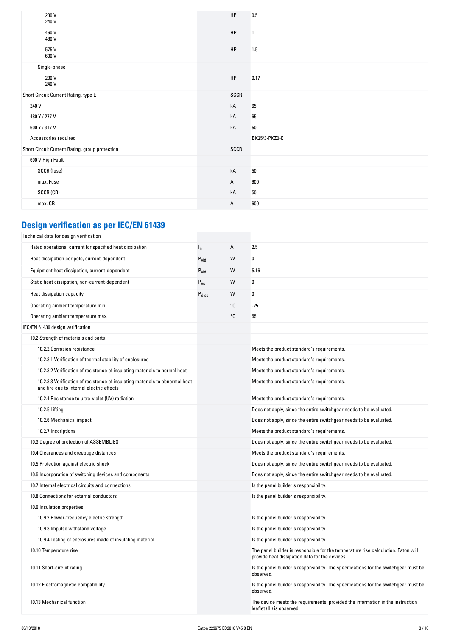| 230 V<br>240 V                                 | HP           | 0.5            |
|------------------------------------------------|--------------|----------------|
| 460 V<br>480 V                                 | HP           | $\overline{1}$ |
| 575V<br>600 V                                  | HP           | 1.5            |
| Single-phase                                   |              |                |
| 230 V<br>240 V                                 | <b>HP</b>    | 0.17           |
| Short Circuit Current Rating, type E           | SCCR         |                |
| 240 V                                          | kA           | 65             |
| 480 Y / 277 V                                  | kA           | 65             |
| 600 Y / 347 V                                  | kA           | $50\,$         |
| Accessories required                           |              | BK25/3-PKZ0-E  |
| Short Circuit Current Rating, group protection | SCCR         |                |
| 600 V High Fault                               |              |                |
| SCCR (fuse)                                    | kA           | $50\,$         |
| max. Fuse                                      | $\mathsf{A}$ | 600            |
| SCCR (CB)                                      | kA           | 50             |
| max. CB                                        | $\mathsf{A}$ | 600            |

# **Design verification as per IEC/EN 61439**

| Technical data for design verification                                                                                    |                   |    |                                                                                                                                     |
|---------------------------------------------------------------------------------------------------------------------------|-------------------|----|-------------------------------------------------------------------------------------------------------------------------------------|
| Rated operational current for specified heat dissipation                                                                  | $I_n$             | Α  | 2.5                                                                                                                                 |
| Heat dissipation per pole, current-dependent                                                                              | $P_{vid}$         | W  | 0                                                                                                                                   |
| Equipment heat dissipation, current-dependent                                                                             | $P_{\text{vid}}$  | W  | 5.16                                                                                                                                |
| Static heat dissipation, non-current-dependent                                                                            | $P_{VS}$          | W  | $\Omega$                                                                                                                            |
| Heat dissipation capacity                                                                                                 | $P_{\text{diss}}$ | W  | 0                                                                                                                                   |
| Operating ambient temperature min.                                                                                        |                   | °C | $-25$                                                                                                                               |
| Operating ambient temperature max.                                                                                        |                   | °C | 55                                                                                                                                  |
| IEC/EN 61439 design verification                                                                                          |                   |    |                                                                                                                                     |
| 10.2 Strength of materials and parts                                                                                      |                   |    |                                                                                                                                     |
| 10.2.2 Corrosion resistance                                                                                               |                   |    | Meets the product standard's requirements.                                                                                          |
| 10.2.3.1 Verification of thermal stability of enclosures                                                                  |                   |    | Meets the product standard's requirements.                                                                                          |
| 10.2.3.2 Verification of resistance of insulating materials to normal heat                                                |                   |    | Meets the product standard's requirements.                                                                                          |
| 10.2.3.3 Verification of resistance of insulating materials to abnormal heat<br>and fire due to internal electric effects |                   |    | Meets the product standard's requirements.                                                                                          |
| 10.2.4 Resistance to ultra-violet (UV) radiation                                                                          |                   |    | Meets the product standard's requirements.                                                                                          |
| 10.2.5 Lifting                                                                                                            |                   |    | Does not apply, since the entire switchgear needs to be evaluated.                                                                  |
| 10.2.6 Mechanical impact                                                                                                  |                   |    | Does not apply, since the entire switchgear needs to be evaluated.                                                                  |
| 10.2.7 Inscriptions                                                                                                       |                   |    | Meets the product standard's requirements.                                                                                          |
| 10.3 Degree of protection of ASSEMBLIES                                                                                   |                   |    | Does not apply, since the entire switchgear needs to be evaluated.                                                                  |
| 10.4 Clearances and creepage distances                                                                                    |                   |    | Meets the product standard's requirements.                                                                                          |
| 10.5 Protection against electric shock                                                                                    |                   |    | Does not apply, since the entire switchgear needs to be evaluated.                                                                  |
| 10.6 Incorporation of switching devices and components                                                                    |                   |    | Does not apply, since the entire switchgear needs to be evaluated.                                                                  |
| 10.7 Internal electrical circuits and connections                                                                         |                   |    | Is the panel builder's responsibility.                                                                                              |
| 10.8 Connections for external conductors                                                                                  |                   |    | Is the panel builder's responsibility.                                                                                              |
| 10.9 Insulation properties                                                                                                |                   |    |                                                                                                                                     |
| 10.9.2 Power-frequency electric strength                                                                                  |                   |    | Is the panel builder's responsibility.                                                                                              |
| 10.9.3 Impulse withstand voltage                                                                                          |                   |    | Is the panel builder's responsibility.                                                                                              |
| 10.9.4 Testing of enclosures made of insulating material                                                                  |                   |    | Is the panel builder's responsibility.                                                                                              |
| 10.10 Temperature rise                                                                                                    |                   |    | The panel builder is responsible for the temperature rise calculation. Eaton will<br>provide heat dissipation data for the devices. |
| 10.11 Short-circuit rating                                                                                                |                   |    | Is the panel builder's responsibility. The specifications for the switchgear must be<br>observed.                                   |
| 10.12 Electromagnetic compatibility                                                                                       |                   |    | Is the panel builder's responsibility. The specifications for the switchgear must be<br>observed.                                   |
| 10.13 Mechanical function                                                                                                 |                   |    | The device meets the requirements, provided the information in the instruction<br>leaflet (IL) is observed.                         |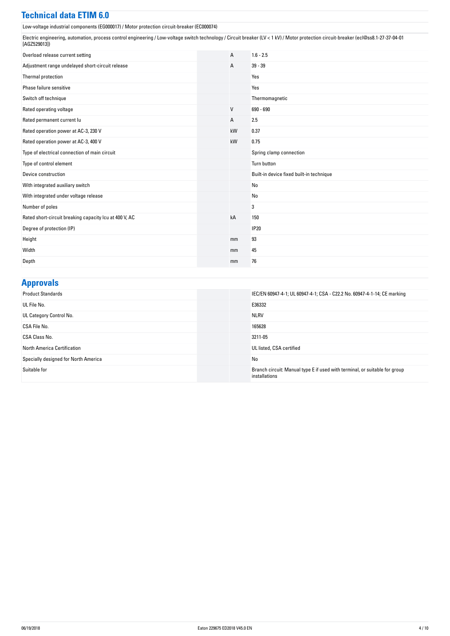#### **Technical data ETIM 6.0**

Low-voltage industrial components (EG000017) / Motor protection circuit-breaker (EC000074)

Electric engineering, automation, process control engineering / Low-voltage switch technology / Circuit breaker (LV < 1 kV) / Motor protection circuit-breaker (ecl@ss8.1-27-37-04-01 [AGZ529013])

| Overload release current setting                       | A  | $1.6 - 2.5$                              |
|--------------------------------------------------------|----|------------------------------------------|
| Adjustment range undelayed short-circuit release       | А  | $39 - 39$                                |
| Thermal protection                                     |    | Yes                                      |
| Phase failure sensitive                                |    | Yes                                      |
| Switch off technique                                   |    | Thermomagnetic                           |
| Rated operating voltage                                | V  | 690 - 690                                |
| Rated permanent current lu                             | А  | 2.5                                      |
| Rated operation power at AC-3, 230 V                   | kW | 0.37                                     |
| Rated operation power at AC-3, 400 V                   | kW | 0.75                                     |
| Type of electrical connection of main circuit          |    | Spring clamp connection                  |
| Type of control element                                |    | Turn button                              |
| Device construction                                    |    | Built-in device fixed built-in technique |
| With integrated auxiliary switch                       |    | No                                       |
| With integrated under voltage release                  |    | No                                       |
| Number of poles                                        |    | 3                                        |
| Rated short-circuit breaking capacity Icu at 400 V, AC | kA | 150                                      |
| Degree of protection (IP)                              |    | <b>IP20</b>                              |
| Height                                                 | mm | 93                                       |
| Width                                                  | mm | 45                                       |
| Depth                                                  | mm | 76                                       |

#### **Approvals**

| <b>Product Standards</b>             | IEC/EN 60947-4-1; UL 60947-4-1; CSA - C22.2 No. 60947-4-1-14; CE marking                    |
|--------------------------------------|---------------------------------------------------------------------------------------------|
| UL File No.                          | E36332                                                                                      |
| UL Category Control No.              | <b>NLRV</b>                                                                                 |
| CSA File No.                         | 165628                                                                                      |
| CSA Class No.                        | 3211-05                                                                                     |
| <b>North America Certification</b>   | UL listed, CSA certified                                                                    |
| Specially designed for North America | No                                                                                          |
| Suitable for                         | Branch circuit: Manual type E if used with terminal, or suitable for group<br>installations |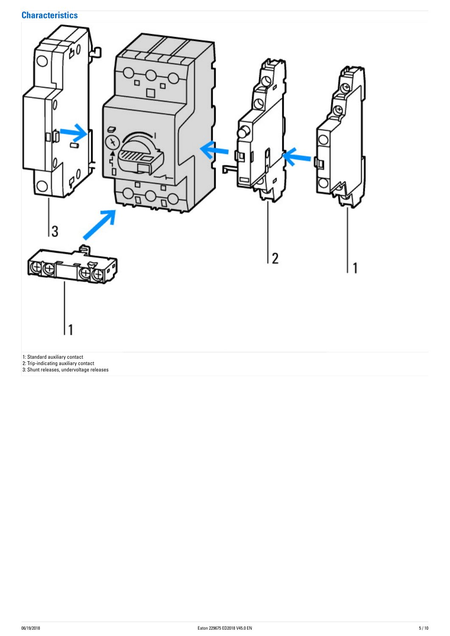## **Characteristics**

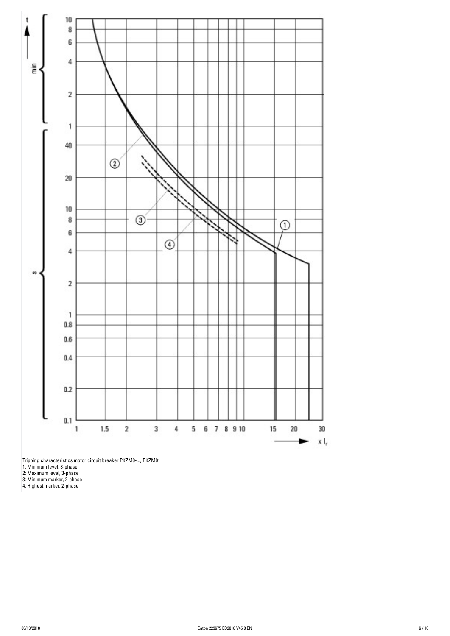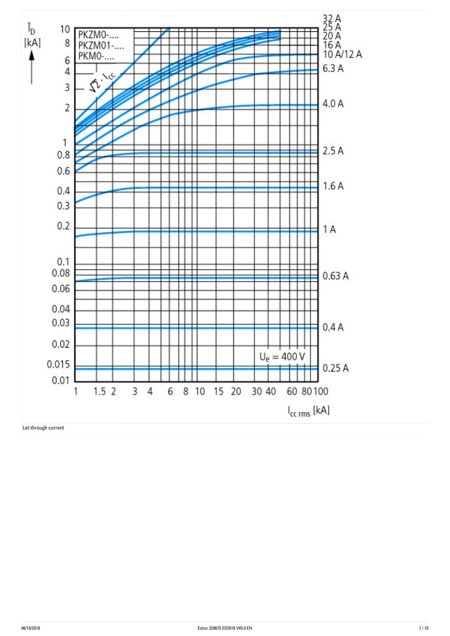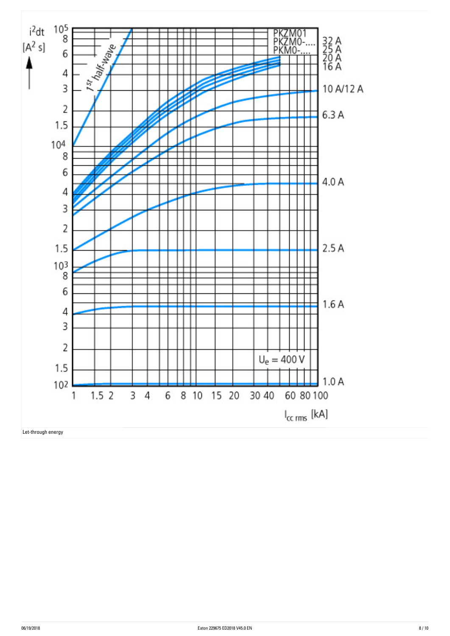

Let-through energy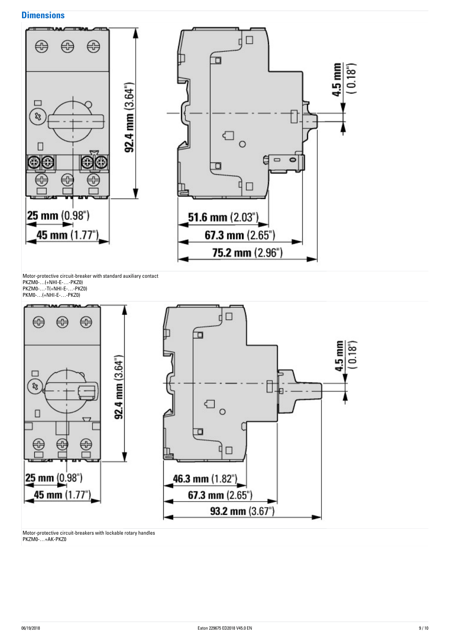#### **Dimensions**